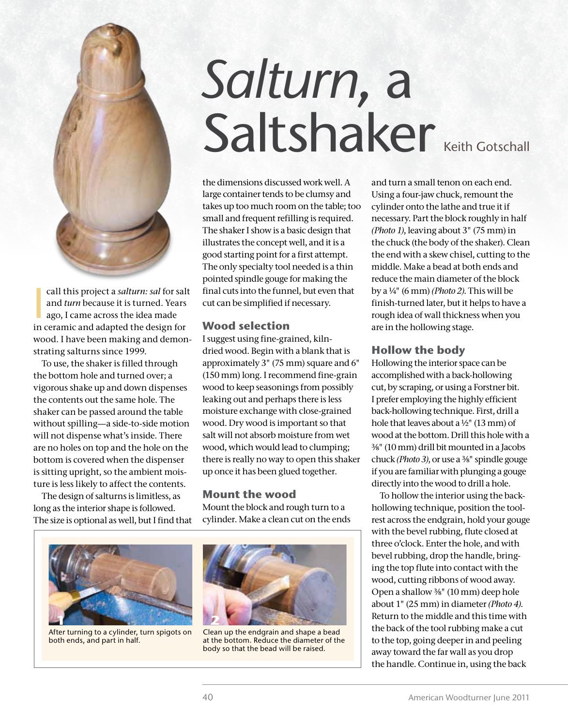

call this project a *salturn: sal* for salm and *turn* because it is turned. Years ago, I came across the idea made in ceramic and adapted the design for call this project a *salturn: sal* for salt and *turn* because it is turned. Years ago, I came across the idea made wood. I have been making and demonstrating salturns since 1999.

To use, the shaker is filled through the bottom hole and turned over; a vigorous shake up and down dispenses the contents out the same hole. The shaker can be passed around the table without spilling—a side-to-side motion will not dispense what's inside. There are no holes on top and the hole on the bottom is covered when the dispenser is sitting upright, so the ambient moisture is less likely to affect the contents.

The design of salturns is limitless, as long as the interior shape is followed. The size is optional as well, but I find that

# *Salturn*, a Saltshaker Keith Gotschall

the dimensions discussed work well. A large container tends to be clumsy and takes up too much room on the table; too small and frequent refilling is required. The shaker I show is a basic design that illustrates the concept well, and it is a good starting point for a first attempt. The only specialty tool needed is a thin pointed spindle gouge for making the final cuts into the funnel, but even that cut can be simplified if necessary.

# **Wood selection**

I suggest using fine-grained, kilndried wood. Begin with a blank that is approximately 3" (75 mm) square and 6" (150 mm) long. I recommend fine-grain wood to keep seasonings from possibly leaking out and perhaps there is less moisture exchange with close-grained wood. Dry wood is important so that salt will not absorb moisture from wet wood, which would lead to clumping; there is really no way to open this shaker up once it has been glued together.

#### **Mount the wood**

Mount the block and rough turn to a cylinder. Make a clean cut on the ends



After turning to a cylinder, turn spigots on both ends, and part in half.



Clean up the endgrain and shape a bead at the bottom. Reduce the diameter of the body so that the bead will be raised.

and turn a small tenon on each end. Using a four-jaw chuck, remount the cylinder onto the lathe and true it if necessary. Part the block roughly in half *(Photo 1)*, leaving about 3" (75 mm) in the chuck (the body of the shaker). Clean the end with a skew chisel, cutting to the middle. Make a bead at both ends and reduce the main diameter of the block by a ¼" (6 mm) *(Photo 2)*. This will be finish-turned later, but it helps to have a rough idea of wall thickness when you are in the hollowing stage.

#### **Hollow the body**

Hollowing the interior space can be accomplished with a back-hollowing cut, by scraping, or using a Forstner bit. I prefer employing the highly efficient back-hollowing technique. First, drill a hole that leaves about a ½" (13 mm) of wood at the bottom. Drill this hole with a ⅜" (10 mm) drill bit mounted in a Jacobs chuck *(Photo 3)*, or use a ⅜" spindle gouge if you are familiar with plunging a gouge directly into the wood to drill a hole.

To hollow the interior using the backhollowing technique, position the toolrest across the endgrain, hold your gouge with the bevel rubbing, flute closed at three o'clock. Enter the hole, and with bevel rubbing, drop the handle, bringing the top flute into contact with the wood, cutting ribbons of wood away. Open a shallow ⅜" (10 mm) deep hole about 1" (25 mm) in diameter *(Photo 4)*. Return to the middle and this time with the back of the tool rubbing make a cut to the top, going deeper in and peeling away toward the far wall as you drop the handle. Continue in, using the back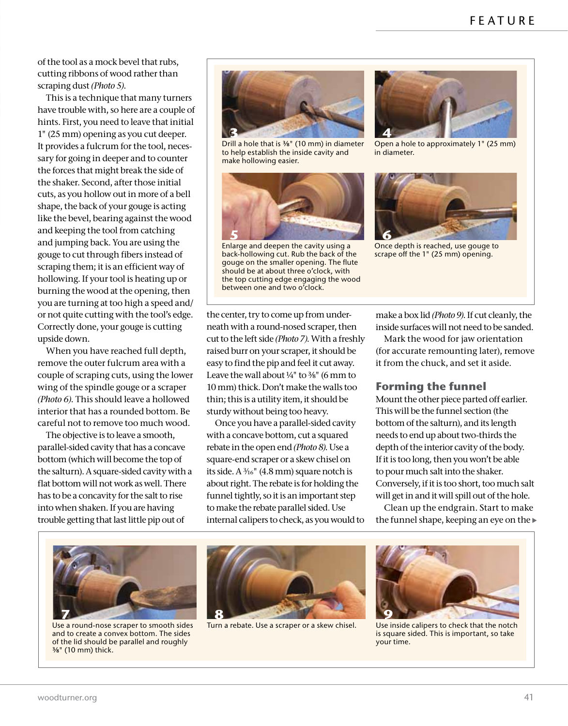of the tool as a mock bevel that rubs, cutting ribbons of wood rather than scraping dust *(Photo 5)*.

This is a technique that many turners have trouble with, so here are a couple of hints. First, you need to leave that initial 1" (25 mm) opening as you cut deeper. It provides a fulcrum for the tool, necessary for going in deeper and to counter the forces that might break the side of the shaker. Second, after those initial cuts, as you hollow out in more of a bell shape, the back of your gouge is acting like the bevel, bearing against the wood and keeping the tool from catching and jumping back. You are using the gouge to cut through fibers instead of scraping them; it is an efficient way of hollowing. If your tool is heating up or burning the wood at the opening, then you are turning at too high a speed and/ or not quite cutting with the tool's edge. Correctly done, your gouge is cutting upside down.

When you have reached full depth, remove the outer fulcrum area with a couple of scraping cuts, using the lower wing of the spindle gouge or a scraper *(Photo 6)*. This should leave a hollowed interior that has a rounded bottom. Be careful not to remove too much wood.

The objective is to leave a smooth, parallel-sided cavity that has a concave bottom (which will become the top of the salturn). A square-sided cavity with a flat bottom will not work as well. There has to be a concavity for the salt to rise into when shaken. If you are having trouble getting that last little pip out of



to help establish the inside cavity and make hollowing easier.



back-hollowing cut. Rub the back of the gouge on the smaller opening. The flute should be at about three o'clock, with the top cutting edge engaging the wood between one and two o'clock.



**9** in diameter. Open a hole to approximately 1" (25 mm)

**9 6**

Once depth is reached, use gouge to scrape off the 1" (25 mm) opening.

the center, try to come up from underneath with a round-nosed scraper, then cut to the left side *(Photo 7)*. With a freshly raised burr on your scraper, it should be easy to find the pip and feel it cut away. Leave the wall about  $\frac{1}{4}$ " to  $\frac{3}{8}$ " (6 mm to 10 mm) thick. Don't make the walls too thin; this is a utility item, it should be sturdy without being too heavy.

Once you have a parallel-sided cavity with a concave bottom, cut a squared rebate in the open end *(Photo 8)*. Use a square-end scraper or a skew chisel on its side. A  $\frac{3}{6}$ " (4.8 mm) square notch is about right. The rebate is for holding the funnel tightly, so it is an important step to make the rebate parallel sided. Use internal calipers to check, as you would to make a box lid *(Photo 9)*. If cut cleanly, the inside surfaces will not need to be sanded.

Mark the wood for jaw orientation (for accurate remounting later), remove it from the chuck, and set it aside.

## **Forming the funnel**

Mount the other piece parted off earlier. This will be the funnel section (the bottom of the salturn), and its length needs to end up about two-thirds the depth of the interior cavity of the body. If it is too long, then you won't be able to pour much salt into the shaker. Conversely, if it is too short, too much salt will get in and it will spill out of the hole.

Clean up the endgrain. Start to make the funnel shape, keeping an eye on the



Use a round-nose scraper to smooth sides and to create a convex bottom. The sides of the lid should be parallel and roughly ⅜" (10 mm) thick.



Turn a rebate. Use a scraper or a skew chisel. Use inside calipers to check that the notch



is square sided. This is important, so take your time.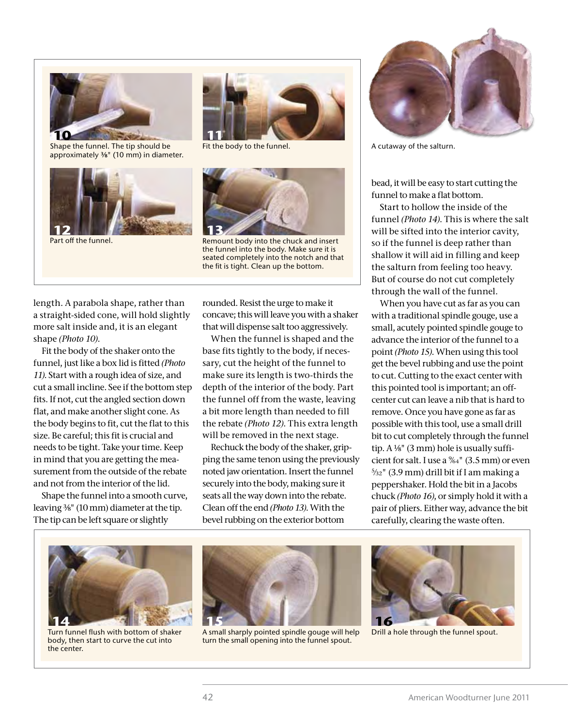

approximately ⅜" (10 mm) in diameter.





**9**



the funnel into the body. Make sure it is seated completely into the notch and that the fit is tight. Clean up the bottom.

length. A parabola shape, rather than a straight-sided cone, will hold slightly more salt inside and, it is an elegant shape *(Photo 10)*.

Fit the body of the shaker onto the funnel, just like a box lid is fitted *(Photo 11)*. Start with a rough idea of size, and cut a small incline. See if the bottom step fits. If not, cut the angled section down flat, and make another slight cone. As the body begins to fit, cut the flat to this size. Be careful; this fit is crucial and needs to be tight. Take your time. Keep in mind that you are getting the measurement from the outside of the rebate and not from the interior of the lid.

Shape the funnel into a smooth curve, leaving ⅜" (10 mm) diameter at the tip. The tip can be left square or slightly

rounded. Resist the urge to make it concave; this will leave you with a shaker that will dispense salt too aggressively.

When the funnel is shaped and the base fits tightly to the body, if necessary, cut the height of the funnel to make sure its length is two-thirds the depth of the interior of the body. Part the funnel off from the waste, leaving a bit more length than needed to fill the rebate *(Photo 12)*. This extra length will be removed in the next stage.

Rechuck the body of the shaker, gripping the same tenon using the previously noted jaw orientation. Insert the funnel securely into the body, making sure it seats all the way down into the rebate. Clean off the end *(Photo 13)*. With the bevel rubbing on the exterior bottom



A cutaway of the salturn.

bead, it will be easy to start cutting the funnel to make a flat bottom.

Start to hollow the inside of the funnel *(Photo 14)*. This is where the salt will be sifted into the interior cavity, so if the funnel is deep rather than shallow it will aid in filling and keep the salturn from feeling too heavy. But of course do not cut completely through the wall of the funnel.

When you have cut as far as you can with a traditional spindle gouge, use a small, acutely pointed spindle gouge to advance the interior of the funnel to a point *(Photo 15)*. When using this tool get the bevel rubbing and use the point to cut. Cutting to the exact center with this pointed tool is important; an offcenter cut can leave a nib that is hard to remove. Once you have gone as far as possible with this tool, use a small drill bit to cut completely through the funnel tip. A ⅛" (3 mm) hole is usually sufficient for salt. I use a 9⁄64" (3.5 mm) or even 5⁄32" (3.9 mm) drill bit if I am making a peppershaker. Hold the bit in a Jacobs chuck *(Photo 16)*, or simply hold it with a pair of pliers. Either way, advance the bit carefully, clearing the waste often.



Turn funnel flush with bottom of shaker body, then start to curve the cut into the center.



A small sharply pointed spindle gouge will help turn the small opening into the funnel spout.



Drill a hole through the funnel spout.